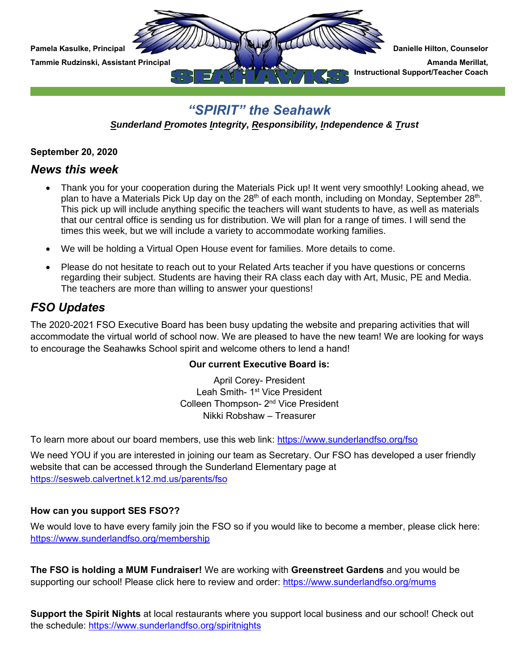

# *"SPIRIT" the Seahawk*

*Sunderland Promotes Integrity, Responsibility, Independence & Trust*

**September 20, 2020**

### *News this week*

- Thank you for your cooperation during the Materials Pick up! It went very smoothly! Looking ahead, we plan to have a Materials Pick Up day on the 28<sup>th</sup> of each month, including on Monday, September 28<sup>th</sup>. This pick up will include anything specific the teachers will want students to have, as well as materials that our central office is sending us for distribution. We will plan for a range of times. I will send the times this week, but we will include a variety to accommodate working families.
- We will be holding a Virtual Open House event for families. More details to come.
- Please do not hesitate to reach out to your Related Arts teacher if you have questions or concerns regarding their subject. Students are having their RA class each day with Art, Music, PE and Media. The teachers are more than willing to answer your questions!

## *FSO Updates*

The 2020-2021 FSO Executive Board has been busy updating the website and preparing activities that will accommodate the virtual world of school now. We are pleased to have the new team! We are looking for ways to encourage the Seahawks School spirit and welcome others to lend a hand!

#### **Our current Executive Board is:**

April Corey- President Leah Smith- 1<sup>st</sup> Vice President Colleen Thompson- 2<sup>nd</sup> Vice President Nikki Robshaw – Treasurer

To learn more about our board members, use this web link:<https://www.sunderlandfso.org/fso>

We need YOU if you are interested in joining our team as Secretary. Our FSO has developed a user friendly website that can be accessed through the Sunderland Elementary page at <https://sesweb.calvertnet.k12.md.us/parents/fso>

#### **How can you support SES FSO??**

We would love to have every family join the FSO so if you would like to become a member, please click here: <https://www.sunderlandfso.org/membership>

**The FSO is holding a MUM Fundraiser!** We are working with **Greenstreet Gardens** and you would be supporting our school! Please click here to review and order:<https://www.sunderlandfso.org/mums>

**Support the Spirit Nights** at local restaurants where you support local business and our school! Check out the schedule:<https://www.sunderlandfso.org/spiritnights>